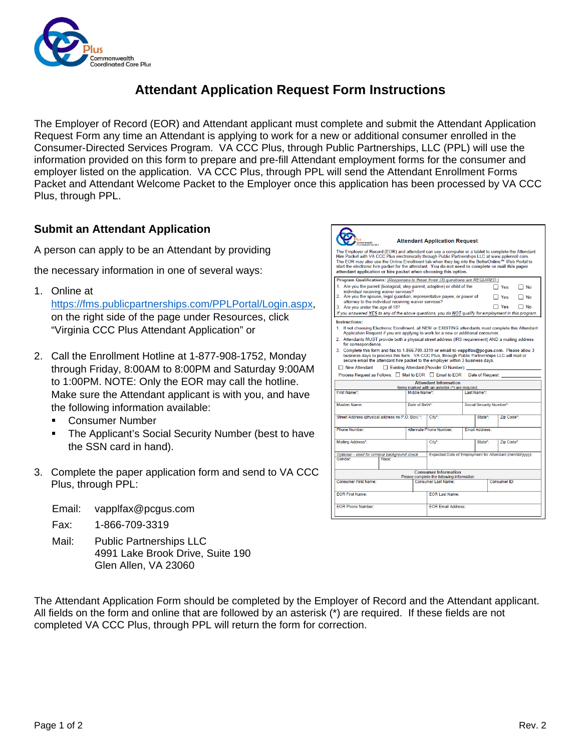

## **Attendant Application Request Form Instructions**

The Employer of Record (EOR) and Attendant applicant must complete and submit the Attendant Application Request Form any time an Attendant is applying to work for a new or additional consumer enrolled in the Consumer-Directed Services Program. VA CCC Plus, through Public Partnerships, LLC (PPL) will use the information provided on this form to prepare and pre-fill Attendant employment forms for the consumer and employer listed on the application. VA CCC Plus, through PPL will send the Attendant Enrollment Forms Packet and Attendant Welcome Packet to the Employer once this application has been processed by VA CCC Plus, through PPL.

 $\overline{\phantom{a}}$ 

## **Submit an Attendant Application**

A person can apply to be an Attendant by providing

the necessary information in one of several ways:

1. Online at

[https://fms.publicpartnerships.com/PPLPortal/Login.aspx,](https://fms.publicpartnerships.com/PPLPortal/Login.aspx) on the right side of the page under Resources, click "Virginia CCC Plus Attendant Application" or

- 2. Call the Enrollment Hotline at 1-877-908-1752, Monday through Friday, 8:00AM to 8:00PM and Saturday 9:00AM to 1:00PM. NOTE: Only the EOR may call the hotline. Make sure the Attendant applicant is with you, and have the following information available:
	- Consumer Number
	- The Applicant's Social Security Number (best to have the SSN card in hand).
- 3. Complete the paper application form and send to VA CCC Plus, through PPL:

| Email: | vapplfax@pcgus.com |
|--------|--------------------|
|--------|--------------------|

- Fax: 1-866-709-3319
- Mail: Public Partnerships LLC 4991 Lake Brook Drive, Suite 190 Glen Allen, VA 23060

The Attendant Application Form should be completed by the Employer of Record and the Attendant applicant. All fields on the form and online that are followed by an asterisk (\*) are required. If these fields are not completed VA CCC Plus, through PPL will return the form for correction.

| <b>Attendant Application Request</b>                                                                                                                                                                                                                                                                                                                                                                                                                                                                                                                                                                                         |                                                                                 |                         |                          |                                 |                           |  |  |  |
|------------------------------------------------------------------------------------------------------------------------------------------------------------------------------------------------------------------------------------------------------------------------------------------------------------------------------------------------------------------------------------------------------------------------------------------------------------------------------------------------------------------------------------------------------------------------------------------------------------------------------|---------------------------------------------------------------------------------|-------------------------|--------------------------|---------------------------------|---------------------------|--|--|--|
| The Employer of Record (EOR) and attendant can use a computer or a tablet to complete the Attendant<br>Hire Packet with VA CCC Plus electronically through Public Partnerships LLC at www.pplenroll.com.<br>The EOR may also use the Online Enrollment tab when they log into the BetterOnline™ Web Portal to<br>start the electronic hire packet for the attendant. You do not need to complete or mail this paper<br>attendant application or hire packet when choosing this option.                                                                                                                                       |                                                                                 |                         |                          |                                 |                           |  |  |  |
| Program Qualifications: (Responses to these three (3) questions are REQUIRED.)<br>1. Are you the parent (biological, step-parent, adoptive) or child of the<br>individual receiving waiver services?<br>2. Are you the spouse, legal guardian, representative payee, or power of<br>attorney to the individual receiving waiver services?<br>3. Are you under the age of 18?<br>If you answered YES to any of the above questions, you do NOT qualify for employment in this program.                                                                                                                                        |                                                                                 |                         |                          | $\Box$ Yes<br>Yes<br>$\Box$ Yes | l No<br>1 No<br>$\Box$ No |  |  |  |
| Instructions:<br>1. If not choosing Electronic Enrollment, all NEW or EXISTING attendants must complete this Attendant<br>Application Request if you are applying to work for a new or additional consumer.<br>2. Attendants MUST provide both a physical street address (IRS requirement) AND a mailing address<br>for correspondence.<br>3. Complete this form and fax to 1-866-709-3319 or email to vapplfax@pcqus.com. Please allow 3<br>business days to process this form. VA CCC Plus, through Public Partnerships LLC will mail or<br>secure email the attendant hire packet to the employer within 3 business days. |                                                                                 |                         |                          |                                 |                           |  |  |  |
| Existing Attendant (Provider ID Number):<br>□ New Attendant<br>Process Request as Follows: I Mail to EOR Email to EOR<br>Date of Request:<br><b>Attendant Information</b>                                                                                                                                                                                                                                                                                                                                                                                                                                                    |                                                                                 |                         |                          |                                 |                           |  |  |  |
| First Name*                                                                                                                                                                                                                                                                                                                                                                                                                                                                                                                                                                                                                  | Items marked with an asterisk (*) are required.<br>Middle Name*:<br>Last Name*: |                         |                          |                                 |                           |  |  |  |
| Maiden Name:                                                                                                                                                                                                                                                                                                                                                                                                                                                                                                                                                                                                                 | Date of Birth*:                                                                 |                         | Social Security Number*: |                                 |                           |  |  |  |
| Street Address (physical address no P.O. Box) *:                                                                                                                                                                                                                                                                                                                                                                                                                                                                                                                                                                             |                                                                                 | City*:                  |                          | State*                          | Zip Code*:                |  |  |  |
| Phone Number:                                                                                                                                                                                                                                                                                                                                                                                                                                                                                                                                                                                                                |                                                                                 | Alternate Phone Number: | <b>Email Address:</b>    |                                 |                           |  |  |  |
| Mailing Address*:                                                                                                                                                                                                                                                                                                                                                                                                                                                                                                                                                                                                            |                                                                                 | City*:                  |                          | State*:                         | Zip Code*:                |  |  |  |
| Optional - used for criminal background check<br>Gender:<br>Race:                                                                                                                                                                                                                                                                                                                                                                                                                                                                                                                                                            | Expected Date of Employment for Attendant (mm/dd/vvvv):                         |                         |                          |                                 |                           |  |  |  |
| <b>Consumer Information</b><br>Please complete the following information                                                                                                                                                                                                                                                                                                                                                                                                                                                                                                                                                     |                                                                                 |                         |                          |                                 |                           |  |  |  |
| Consumer First Name:                                                                                                                                                                                                                                                                                                                                                                                                                                                                                                                                                                                                         | Consumer ID:<br>Consumer Last Name:                                             |                         |                          |                                 |                           |  |  |  |
| <b>EOR First Name:</b>                                                                                                                                                                                                                                                                                                                                                                                                                                                                                                                                                                                                       | <b>EOR Last Name:</b>                                                           |                         |                          |                                 |                           |  |  |  |
| <b>FOR Phone Number:</b>                                                                                                                                                                                                                                                                                                                                                                                                                                                                                                                                                                                                     | <b>FOR Email Address:</b>                                                       |                         |                          |                                 |                           |  |  |  |